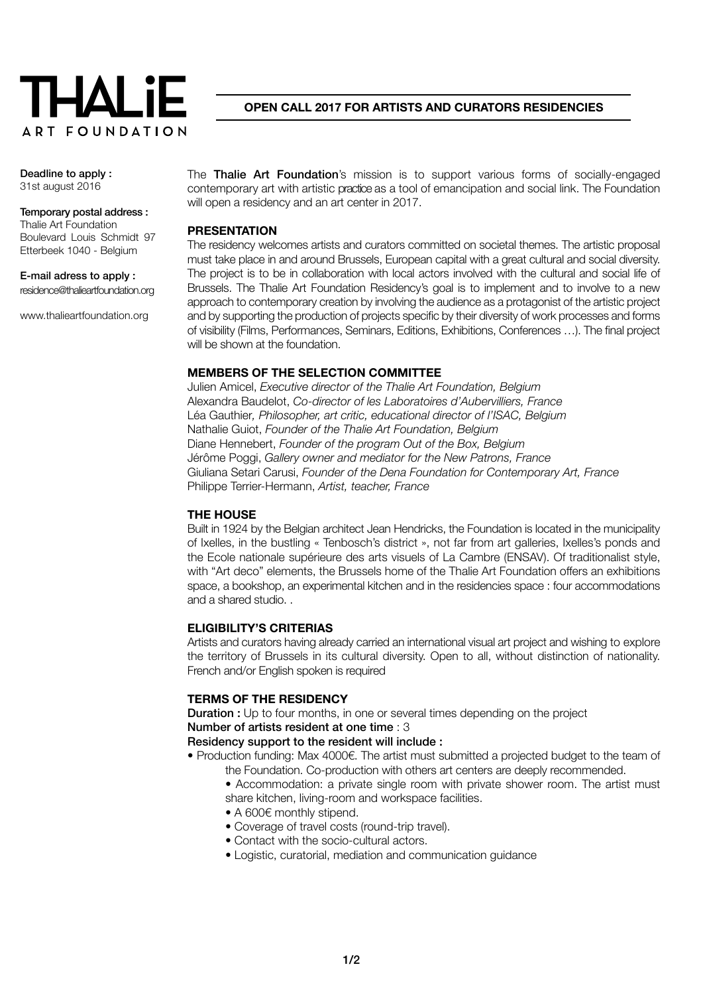

**Open call 2017 for artists and curators residencies**

### Deadline to apply : 31st august 2016

#### Temporary postal address : Thalie Art Foundation

Boulevard Louis Schmidt 97 Etterbeek 1040 - Belgium

E-mail adress to apply : [residence@thalieartfoundation.org](mailto:residence%40thalieartfoundation.org%C2%A0%20?subject=Open%20call%202017)

[www.thalieartfoundation.org](http://www.thalieartfoundation.org)

The Thalie Art Foundation's mission is to support various forms of socially-engaged contemporary art with artistic practice as a tool of emancipation and social link. The Foundation will open a residency and an art center in 2017.

## **PRESENTATION**

The residency welcomes artists and curators committed on societal themes. The artistic proposal must take place in and around Brussels, European capital with a great cultural and social diversity. The project is to be in collaboration with local actors involved with the cultural and social life of Brussels. The Thalie Art Foundation Residency's goal is to implement and to involve to a new approach to contemporary creation by involving the audience as a protagonist of the artistic project and by supporting the production of projects specific by their diversity of work processes and forms of visibility (Films, Performances, Seminars, Editions, Exhibitions, Conferences …). The final project will be shown at the foundation.

# **MEMBERS OF THE SELECTION COMMITTEE**

Julien Amicel, *Executive director of the Thalie Art Foundation, Belgium* Alexandra Baudelot, *Co-director of les Laboratoires d'Aubervilliers, France* Léa Gauthier*, Philosopher, art critic, educational director of l'ISAC, Belgium* Nathalie Guiot, *Founder of the Thalie Art Foundation, Belgium* Diane Hennebert, *Founder of the program Out of the Box, Belgium* Jérôme Poggi, *Gallery owner and mediator for the New Patrons, France* Giuliana Setari Carusi, *Founder of the Dena Foundation for Contemporary Art, France* Philippe Terrier-Hermann, *Artist, teacher, France*

## **THE HOUSE**

Built in 1924 by the Belgian architect Jean Hendricks, the Foundation is located in the municipality of Ixelles, in the bustling « Tenbosch's district », not far from art galleries, Ixelles's ponds and the Ecole nationale supérieure des arts visuels of La Cambre (ENSAV). Of traditionalist style, with "Art deco" elements, the Brussels home of the Thalie Art Foundation offers an exhibitions space, a bookshop, an experimental kitchen and in the residencies space : four accommodations and a shared studio. .

## **ELIGIBILITY'S CRITERIAS**

Artists and curators having already carried an international visual art project and wishing to explore the territory of Brussels in its cultural diversity. Open to all, without distinction of nationality. French and/or English spoken is required

## **TERMS OF THE RESIDENCY**

**Duration :** Up to four months, in one or several times depending on the project Number of artists resident at one time : 3

Residency support to the resident will include :

- Production funding: Max 4000€. The artist must submitted a projected budget to the team of the Foundation. Co-production with others art centers are deeply recommended.
	- Accommodation: a private single room with private shower room. The artist must share kitchen, living-room and workspace facilities.
	- A 600€ monthly stipend.
	- Coverage of travel costs (round-trip travel).
	- Contact with the socio-cultural actors.
	- Logistic, curatorial, mediation and communication guidance